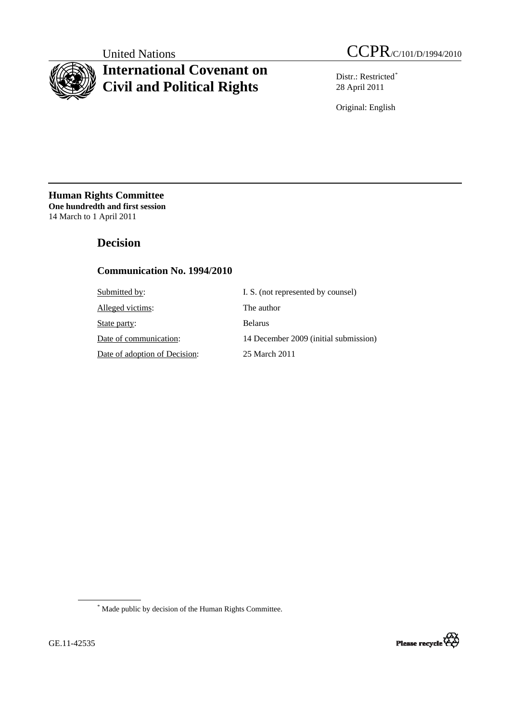

# **International Covenant on Civil and Political Rights**

United Nations CCPR/C/101/D/1994/2010

Distr.: Restricted[\\*](#page-0-0) 28 April 2011

Original: English

**Human Rights Committee One hundredth and first session** 14 March to 1 April 2011

# **Decision**

# **Communication No. 1994/2010**

| I. S. (not represented by counsel)    |
|---------------------------------------|
| The author                            |
| <b>Belarus</b>                        |
| 14 December 2009 (initial submission) |
| 25 March 2011                         |
|                                       |

<span id="page-0-0"></span>\* Made public by decision of the Human Rights Committee.

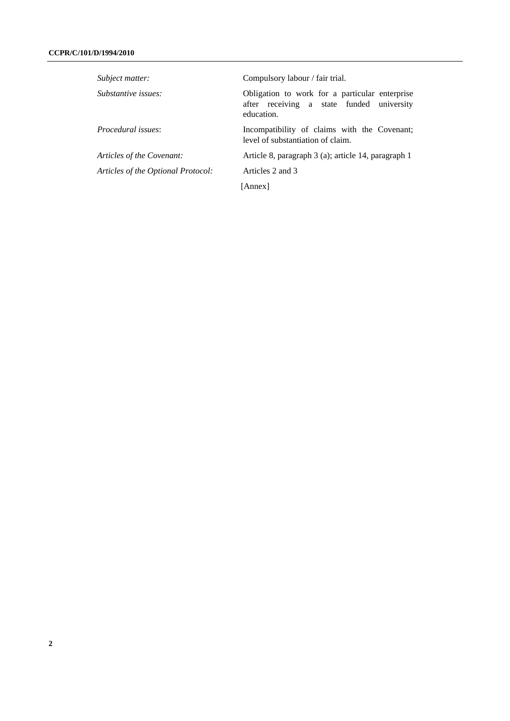| Subject matter:                    | Compulsory labour / fair trial.                                                                           |
|------------------------------------|-----------------------------------------------------------------------------------------------------------|
| Substantive issues:                | Obligation to work for a particular enterprise<br>after receiving a state funded university<br>education. |
| Procedural issues:                 | Incompatibility of claims with the Covenant;<br>level of substantiation of claim.                         |
| Articles of the Covenant:          | Article 8, paragraph 3 (a); article 14, paragraph 1                                                       |
| Articles of the Optional Protocol: | Articles 2 and 3                                                                                          |
|                                    | [Annex]                                                                                                   |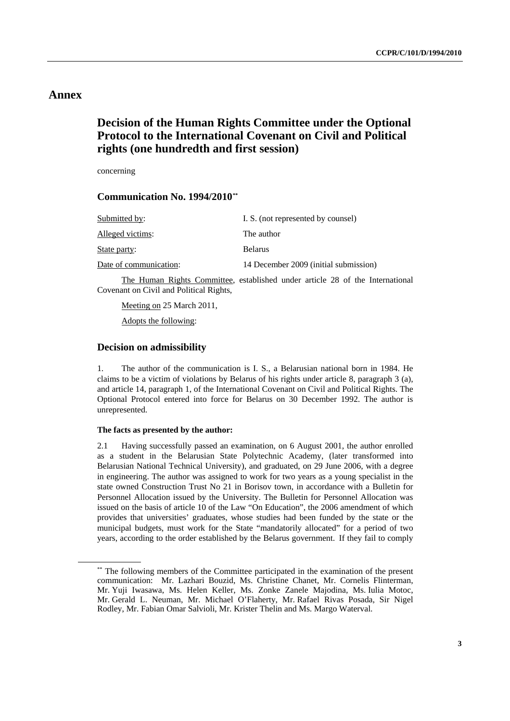# **Annex**

# **Decision of the Human Rights Committee under the Optional Protocol to the International Covenant on Civil and Political rights (one hundredth and first session)**

concerning

 **Communication No. 1994/2010[\\*\\*](#page-2-0)**

| I. S. (not represented by counsel)    |
|---------------------------------------|
| The author                            |
| <b>Belarus</b>                        |
| 14 December 2009 (initial submission) |
|                                       |

 The Human Rights Committee, established under article 28 of the International Covenant on Civil and Political Rights,

Meeting on 25 March 2011,

Adopts the following:

## **Decision on admissibility**

1. The author of the communication is I. S., a Belarusian national born in 1984. He claims to be a victim of violations by Belarus of his rights under article 8, paragraph 3 (a), and article 14, paragraph 1, of the International Covenant on Civil and Political Rights. The Optional Protocol entered into force for Belarus on 30 December 1992. The author is unrepresented.

## **The facts as presented by the author:**

2.1 Having successfully passed an examination, on 6 August 2001, the author enrolled as a student in the Belarusian State Polytechnic Academy, (later transformed into Belarusian National Technical University), and graduated, on 29 June 2006, with a degree in engineering. The author was assigned to work for two years as a young specialist in the state owned Construction Trust No 21 in Borisov town, in accordance with a Bulletin for Personnel Allocation issued by the University. The Bulletin for Personnel Allocation was issued on the basis of article 10 of the Law "On Education", the 2006 amendment of which provides that universities' graduates, whose studies had been funded by the state or the municipal budgets, must work for the State "mandatorily allocated" for a period of two years, according to the order established by the Belarus government. If they fail to comply

<span id="page-2-0"></span><sup>\*\*</sup> The following members of the Committee participated in the examination of the present communication: Mr. Lazhari Bouzid, Ms. Christine Chanet, Mr. Cornelis Flinterman, Mr. Yuji Iwasawa, Ms. Helen Keller, Ms. Zonke Zanele Majodina, Ms. Iulia Motoc, Mr. Gerald L. Neuman, Mr. Michael O'Flaherty, Mr. Rafael Rivas Posada, Sir Nigel Rodley, Mr. Fabian Omar Salvioli, Mr. Krister Thelin and Ms. Margo Waterval.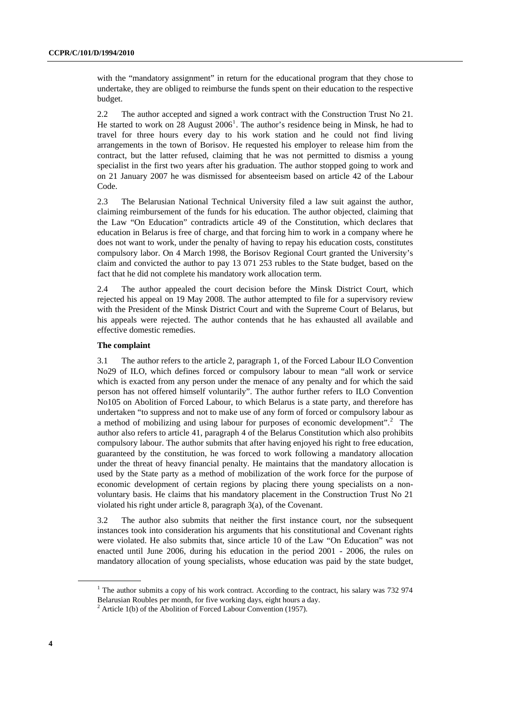with the "mandatory assignment" in return for the educational program that they chose to undertake, they are obliged to reimburse the funds spent on their education to the respective budget.

2.2 The author accepted and signed a work contract with the Construction Trust No 21. He started to work on  $28$  August  $2006<sup>1</sup>$  $2006<sup>1</sup>$  $2006<sup>1</sup>$ . The author's residence being in Minsk, he had to travel for three hours every day to his work station and he could not find living arrangements in the town of Borisov. He requested his employer to release him from the contract, but the latter refused, claiming that he was not permitted to dismiss a young specialist in the first two years after his graduation. The author stopped going to work and on 21 January 2007 he was dismissed for absenteeism based on article 42 of the Labour Code.

2.3 The Belarusian National Technical University filed a law suit against the author, claiming reimbursement of the funds for his education. The author objected, claiming that the Law "On Education" contradicts article 49 of the Constitution, which declares that education in Belarus is free of charge, and that forcing him to work in a company where he does not want to work, under the penalty of having to repay his education costs, constitutes compulsory labor. On 4 March 1998, the Borisov Regional Court granted the University's claim and convicted the author to pay 13 071 253 rubles to the State budget, based on the fact that he did not complete his mandatory work allocation term.

2.4 The author appealed the court decision before the Minsk District Court, which rejected his appeal on 19 May 2008. The author attempted to file for a supervisory review with the President of the Minsk District Court and with the Supreme Court of Belarus, but his appeals were rejected. The author contends that he has exhausted all available and effective domestic remedies.

### **The complaint**

3.1 The author refers to the article 2, paragraph 1, of the Forced Labour ILO Convention No29 of ILO, which defines forced or compulsory labour to mean "all work or service which is exacted from any person under the menace of any penalty and for which the said person has not offered himself voluntarily". The author further refers to ILO Convention No105 on Abolition of Forced Labour, to which Belarus is a state party, and therefore has undertaken "to suppress and not to make use of any form of forced or compulsory labour as a method of mobilizing and using labour for purposes of economic development".<sup>[2](#page-3-1)</sup> The author also refers to article 41, paragraph 4 of the Belarus Constitution which also prohibits compulsory labour. The author submits that after having enjoyed his right to free education, guaranteed by the constitution, he was forced to work following a mandatory allocation under the threat of heavy financial penalty. He maintains that the mandatory allocation is used by the State party as a method of mobilization of the work force for the purpose of economic development of certain regions by placing there young specialists on a nonvoluntary basis. He claims that his mandatory placement in the Construction Trust No 21 violated his right under article 8, paragraph 3(a), of the Covenant.

3.2 The author also submits that neither the first instance court, nor the subsequent instances took into consideration his arguments that his constitutional and Covenant rights were violated. He also submits that, since article 10 of the Law "On Education" was not enacted until June 2006, during his education in the period 2001 - 2006, the rules on mandatory allocation of young specialists, whose education was paid by the state budget,

<span id="page-3-0"></span><sup>&</sup>lt;sup>1</sup> The author submits a copy of his work contract. According to the contract, his salary was 732 974 Belarusian Roubles per month, for five working days, eight hours a day. 2

<span id="page-3-1"></span> $2$  Article 1(b) of the Abolition of Forced Labour Convention (1957).